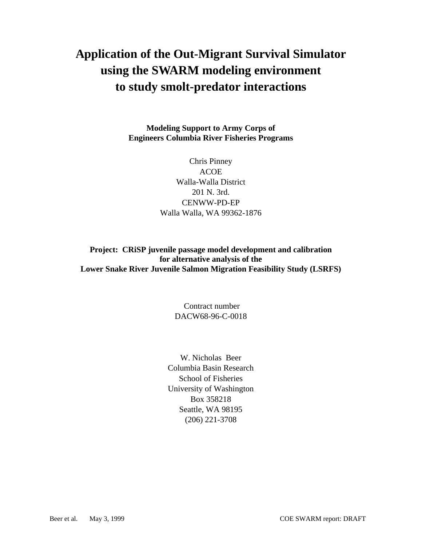# **Application of the Out-Migrant Survival Simulator using the SWARM modeling environment to study smolt-predator interactions**

**Modeling Support to Army Corps of Engineers Columbia River Fisheries Programs**

> Chris Pinney ACOE Walla-Walla District 201 N. 3rd. CENWW-PD-EP Walla Walla, WA 99362-1876

**Project: CRiSP juvenile passage model development and calibration for alternative analysis of the Lower Snake River Juvenile Salmon Migration Feasibility Study (LSRFS)**

> Contract number DACW68-96-C-0018

W. Nicholas Beer Columbia Basin Research School of Fisheries University of Washington Box 358218 Seattle, WA 98195 (206) 221-3708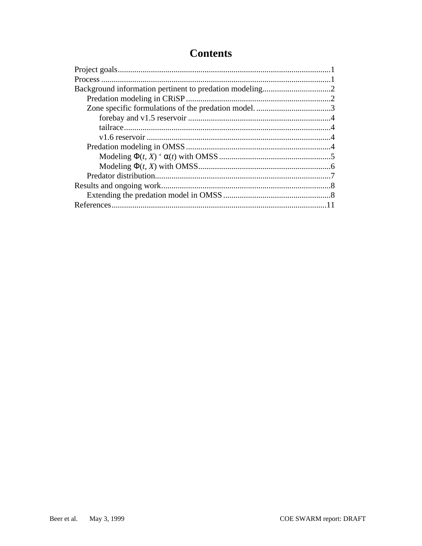## **Contents**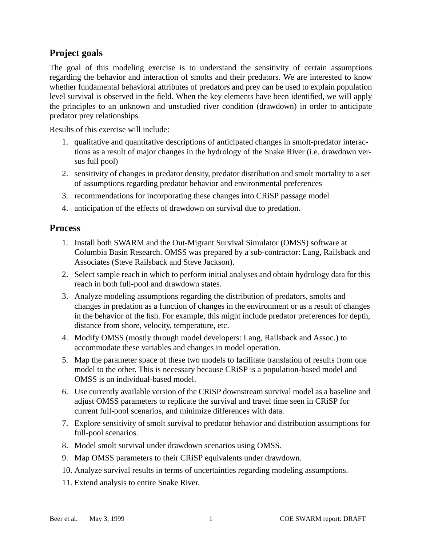## **Project goals**

The goal of this modeling exercise is to understand the sensitivity of certain assumptions regarding the behavior and interaction of smolts and their predators. We are interested to know whether fundamental behavioral attributes of predators and prey can be used to explain population level survival is observed in the field. When the key elements have been identified, we will apply the principles to an unknown and unstudied river condition (drawdown) in order to anticipate predator prey relationships.

Results of this exercise will include:

- 1. qualitative and quantitative descriptions of anticipated changes in smolt-predator interactions as a result of major changes in the hydrology of the Snake River (i.e. drawdown versus full pool)
- 2. sensitivity of changes in predator density, predator distribution and smolt mortality to a set of assumptions regarding predator behavior and environmental preferences
- 3. recommendations for incorporating these changes into CRiSP passage model
- 4. anticipation of the effects of drawdown on survival due to predation.

## **Process**

- 1. Install both SWARM and the Out-Migrant Survival Simulator (OMSS) software at Columbia Basin Research. OMSS was prepared by a sub-contractor: Lang, Railsback and Associates (Steve Railsback and Steve Jackson).
- 2. Select sample reach in which to perform initial analyses and obtain hydrology data for this reach in both full-pool and drawdown states.
- 3. Analyze modeling assumptions regarding the distribution of predators, smolts and changes in predation as a function of changes in the environment or as a result of changes in the behavior of the fish. For example, this might include predator preferences for depth, distance from shore, velocity, temperature, etc.
- 4. Modify OMSS (mostly through model developers: Lang, Railsback and Assoc.) to accommodate these variables and changes in model operation.
- 5. Map the parameter space of these two models to facilitate translation of results from one model to the other. This is necessary because CRiSP is a population-based model and OMSS is an individual-based model.
- 6. Use currently available version of the CRiSP downstream survival model as a baseline and adjust OMSS parameters to replicate the survival and travel time seen in CRiSP for current full-pool scenarios, and minimize differences with data.
- 7. Explore sensitivity of smolt survival to predator behavior and distribution assumptions for full-pool scenarios.
- 8. Model smolt survival under drawdown scenarios using OMSS.
- 9. Map OMSS parameters to their CRiSP equivalents under drawdown.
- 10. Analyze survival results in terms of uncertainties regarding modeling assumptions.
- 11. Extend analysis to entire Snake River.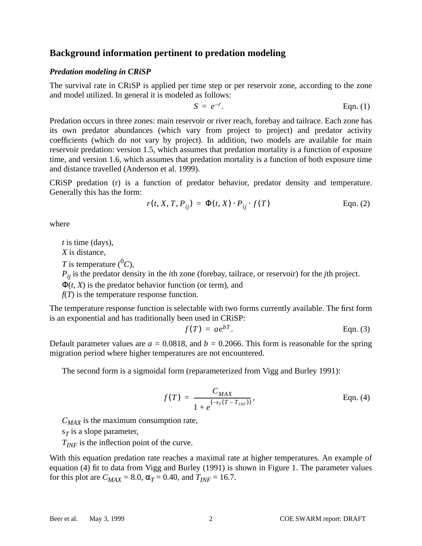## <span id="page-3-0"></span>**Background information pertinent to predation modeling**

#### *Predation modeling in CRiSP*

The survival rate in CRiSP is applied per time step or per reservoir zone, according to the zone and model utilized. In general it is modeled as follows:

$$
S = e^{-r}.
$$
 Eqn. (1)

Predation occurs in three zones: main reservoir or river reach, forebay and tailrace. Each zone has its own predator abundances (which vary from project to project) and predator activity coefficients (which do not vary by project). In addition, two models are available for main reservoir predation: version 1.5, which assumes that predation mortality is a function of exposure time, and version 1.6, which assumes that predation mortality is a function of both exposure time and distance travelled (Anderson et al. 1999).

CRiSP predation (r) is a function of predator behavior, predator density and temperature. Generally this has the form:

$$
r(t, X, T, P_{ij}) = \Phi(t, X) \cdot P_{ij} \cdot f(T) \qquad \text{Eqn. (2)}
$$

where

*t* is time (days),

*X* is distance,

*T* is temperature  $({}^{0}C)$ .

*Pij* is the predator density in the *i*th zone (forebay, tailrace, or reservoir) for the *j*th project.

 $\Phi(t, X)$  is the predator behavior function (or term), and

*f*(*T*) is the temperature response function.

The temperature response function is selectable with two forms currently available. The first form is an exponential and has traditionally been used in CRiSP:

$$
f(T) = ae^{bT}.
$$
 Eqn. (3)

Default parameter values are  $a = 0.0818$ , and  $b = 0.2066$ . This form is reasonable for the spring migration period where higher temperatures are not encountered.

The second form is a sigmoidal form (reparameterized from Vigg and Burley 1991):

$$
f(T) = \frac{C_{MAX}}{1 + e^{(-s_T(T - T_{INF}))}},
$$
 Eqn. (4)

 $C_{MAX}$  is the maximum consumption rate,

 $s<sub>T</sub>$  is a slope parameter,

 $T_{INF}$  is the inflection point of the curve.

With this equation predation rate reaches a maximal rate at higher temperatures. An example of equation (4) fit to data from Vigg and Burley (1991) is shown in Figure 1. The parameter values for this plot are  $C_{MAX} = 8.0$ ,  $\alpha_T = 0.40$ , and  $T_{INF} = 16.7$ .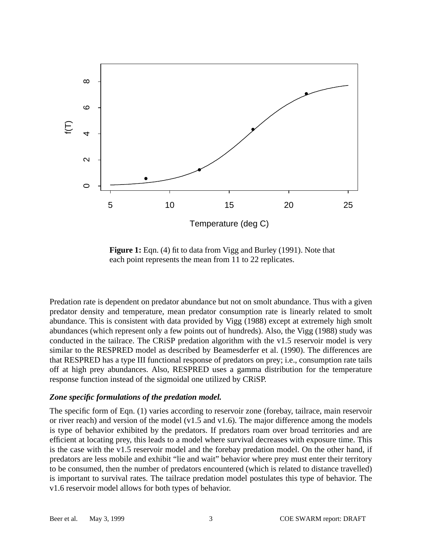

**Figure 1:** [Eqn. \(4\)](#page-3-0) fit to data from Vigg and Burley (1991). Note that each point represents the mean from 11 to 22 replicates.

Predation rate is dependent on predator abundance but not on smolt abundance. Thus with a given predator density and temperature, mean predator consumption rate is linearly related to smolt abundance. This is consistent with data provided by Vigg (1988) except at extremely high smolt abundances (which represent only a few points out of hundreds). Also, the Vigg (1988) study was conducted in the tailrace. The CRiSP predation algorithm with the v1.5 reservoir model is very similar to the RESPRED model as described by Beamesderfer et al. (1990). The differences are that RESPRED has a type III functional response of predators on prey; i.e., consumption rate tails off at high prey abundances. Also, RESPRED uses a gamma distribution for the temperature response function instead of the sigmoidal one utilized by CRiSP.

#### *Zone specific formulations of the predation model.*

The specific form of [Eqn. \(1\)](#page-3-0) varies according to reservoir zone (forebay, tailrace, main reservoir or river reach) and version of the model (v1.5 and v1.6). The major difference among the models is type of behavior exhibited by the predators. If predators roam over broad territories and are efficient at locating prey, this leads to a model where survival decreases with exposure time. This is the case with the v1.5 reservoir model and the forebay predation model. On the other hand, if predators are less mobile and exhibit "lie and wait" behavior where prey must enter their territory to be consumed, then the number of predators encountered (which is related to distance travelled) is important to survival rates. The tailrace predation model postulates this type of behavior. The v1.6 reservoir model allows for both types of behavior.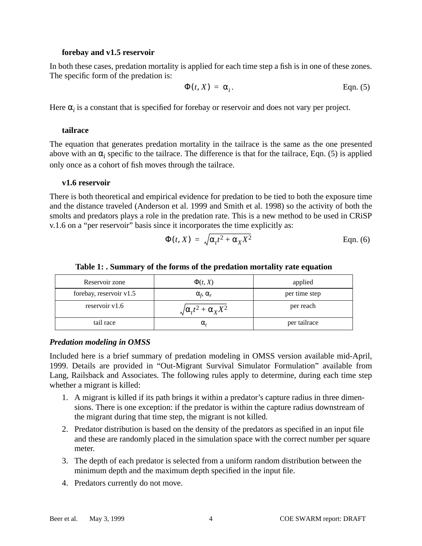#### **forebay and v1.5 reservoir**

In both these cases, predation mortality is applied for each time step a fish is in one of these zones. The specific form of the predation is:

$$
\Phi(t, X) = \alpha_i.
$$
 Eqn. (5)

Here  $\alpha_i$  is a constant that is specified for forebay or reservoir and does not vary per project.

#### **tailrace**

The equation that generates predation mortality in the tailrace is the same as the one presented above with an  $\alpha_i$  specific to the tailrace. The difference is that for the tailrace, Eqn. (5) is applied only once as a cohort of fish moves through the tailrace.

#### **v1.6 reservoir**

There is both theoretical and empirical evidence for predation to be tied to both the exposure time and the distance traveled (Anderson et al. 1999 and Smith et al. 1998) so the activity of both the smolts and predators plays a role in the predation rate. This is a new method to be used in CRiSP v.1.6 on a "per reservoir" basis since it incorporates the time explicitly as:

$$
\Phi(t, X) = \sqrt{\alpha_t t^2 + \alpha_X X^2}
$$
 Eqn. (6)

| Reservoir zone          | $\Phi(t, X)$                         | applied       |  |
|-------------------------|--------------------------------------|---------------|--|
| forebay, reservoir v1.5 | $\alpha_f$ , $\alpha_r$              | per time step |  |
| reservoir $v1.6$        | $\sqrt{\alpha_t t^2 + \alpha_X X^2}$ | per reach     |  |
| tail race               | α,                                   | per tailrace  |  |

#### **Table 1: . Summary of the forms of the predation mortality rate equation**

#### *Predation modeling in OMSS*

Included here is a brief summary of predation modeling in OMSS version available mid-April, 1999. Details are provided in "Out-Migrant Survival Simulator Formulation" available from Lang, Railsback and Associates. The following rules apply to determine, during each time step whether a migrant is killed:

- 1. A migrant is killed if its path brings it within a predator's capture radius in three dimensions. There is one exception: if the predator is within the capture radius downstream of the migrant during that time step, the migrant is not killed.
- 2. Predator distribution is based on the density of the predators as specified in an input file and these are randomly placed in the simulation space with the correct number per square meter.
- 3. The depth of each predator is selected from a uniform random distribution between the minimum depth and the maximum depth specified in the input file.
- 4. Predators currently do not move.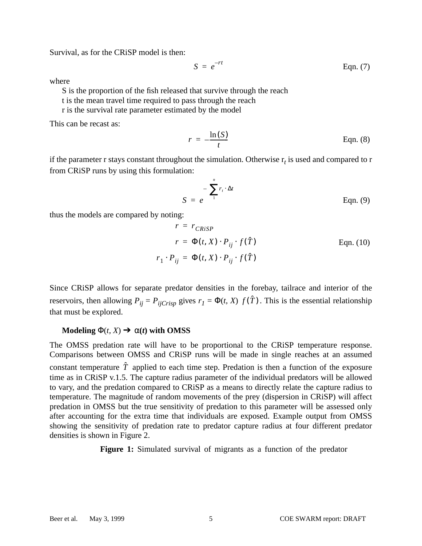Survival, as for the CRiSP model is then:

$$
S = e^{-rt} \qquad \qquad \text{Eqn. (7)}
$$

where

S is the proportion of the fish released that survive through the reach

t is the mean travel time required to pass through the reach

r is the survival rate parameter estimated by the model

This can be recast as:

$$
r = -\frac{\ln(S)}{t}
$$
 Eqn. (8)

if the parameter r stays constant throughout the simulation. Otherwise  $r<sub>t</sub>$  is used and compared to r from CRiSP runs by using this formulation:

$$
S = e^{-\left(\sum_{1}^{n} r_i \cdot \Delta t\right)}
$$
Eqn. (9)

thus the models are compared by noting:

$$
r = r_{CRiSP}
$$
  
\n
$$
r = \Phi(t, X) \cdot P_{ij} \cdot f(\hat{T})
$$
  
\nEqn. (10)  
\n
$$
r_1 \cdot P_{ij} = \Phi(t, X) \cdot P_{ij} \cdot f(\hat{T})
$$

Since CRiSP allows for separate predator densities in the forebay, tailrace and interior of the reservoirs, then allowing  $P_{ij} = P_{ijCrisp}$  gives  $r_1 = \Phi(t, X) f(\hat{T})$ . This is the essential relationship that must be explored.

#### **Modeling**  $\Phi(t, X) \rightarrow \alpha(t)$  with OMSS

The OMSS predation rate will have to be proportional to the CRiSP temperature response. Comparisons between OMSS and CRiSP runs will be made in single reaches at an assumed constant temperature  $\hat{T}$  applied to each time step. Predation is then a function of the exposure time as in CRiSP v.1.5. The capture radius parameter of the individual predators will be allowed to vary, and the predation compared to CRiSP as a means to directly relate the capture radius to temperature. The magnitude of random movements of the prey (dispersion in CRiSP) will affect predation in OMSS but the true sensitivity of predation to this parameter will be assessed only after accounting for the extra time that individuals are exposed. Example output from OMSS showing the sensitivity of predation rate to predator capture radius at four different predator densities is shown in [Figure 2.](#page-7-0)

**Figure 1:** Simulated survival of migrants as a function of the predator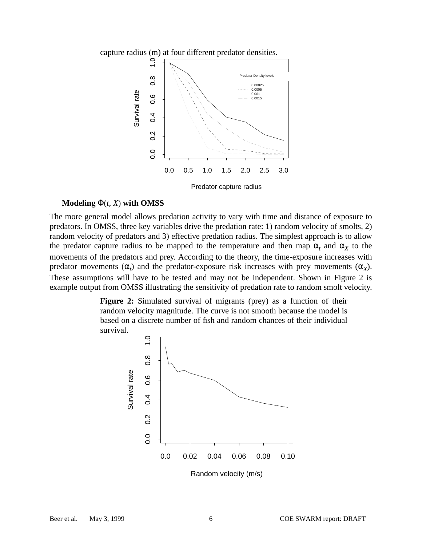<span id="page-7-0"></span>



#### **Modeling** Φ(*t, X*) **with OMSS**

The more general model allows predation activity to vary with time and distance of exposure to predators. In OMSS, three key variables drive the predation rate: 1) random velocity of smolts, 2) random velocity of predators and 3) effective predation radius. The simplest approach is to allow the predator capture radius to be mapped to the temperature and then map  $\alpha_t$  and  $\alpha_x$  to the movements of the predators and prey. According to the theory, the time-exposure increases with predator movements  $(\alpha_t)$  and the predator-exposure risk increases with prey movements  $(\alpha_X)$ . These assumptions will have to be tested and may not be independent. Shown in Figure 2 is example output from OMSS illustrating the sensitivity of predation rate to random smolt velocity.

> **Figure 2:** Simulated survival of migrants (prey) as a function of their random velocity magnitude. The curve is not smooth because the model is based on a discrete number of fish and random chances of their individual survival.

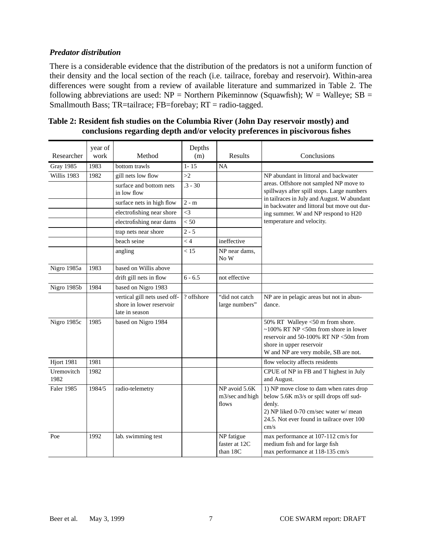### *Predator distribution*

There is a considerable evidence that the distribution of the predators is not a uniform function of their density and the local section of the reach (i.e. tailrace, forebay and reservoir). Within-area differences were sought from a review of available literature and summarized in Table 2. The following abbreviations are used:  $NP =$  Northern Pikeminnow (Squawfish); W = Walleye; SB = Smallmouth Bass; TR=tailrace; FB=forebay; RT = radio-tagged.

| Researcher         | year of<br>work | Method                                                                     | Depths<br>(m) | Results                                   | Conclusions                                                                                                                                                                                  |
|--------------------|-----------------|----------------------------------------------------------------------------|---------------|-------------------------------------------|----------------------------------------------------------------------------------------------------------------------------------------------------------------------------------------------|
| <b>Gray 1985</b>   | 1983            | bottom trawls                                                              | $1 - 15$      | <b>NA</b>                                 |                                                                                                                                                                                              |
| Willis 1983        | 1982            | gill nets low flow                                                         | >2            |                                           | NP abundant in littoral and backwater<br>areas. Offshore not sampled NP move to<br>spillways after spill stops. Large numbers                                                                |
|                    |                 | surface and bottom nets<br>in low flow                                     | $.3 - 30$     |                                           |                                                                                                                                                                                              |
|                    |                 | surface nets in high flow                                                  | $2 - m$       |                                           | in tailraces in July and August. W abundant<br>in backwater and littoral but move out dur-                                                                                                   |
|                    |                 | electrofishing near shore                                                  | $\leq$ 3      |                                           | ing summer. W and NP respond to H20                                                                                                                                                          |
|                    |                 | electrofishing near dams                                                   | < 50          |                                           | temperature and velocity.                                                                                                                                                                    |
|                    |                 | trap nets near shore                                                       | $2 - 5$       |                                           |                                                                                                                                                                                              |
|                    |                 | beach seine                                                                | $\lt 4$       | ineffective                               |                                                                                                                                                                                              |
|                    |                 | angling                                                                    | < 15          | NP near dams,<br>No W                     |                                                                                                                                                                                              |
| Nigro 1985a        | 1983            | based on Willis above                                                      |               |                                           |                                                                                                                                                                                              |
|                    |                 | drift gill nets in flow                                                    | $6 - 6.5$     | not effective                             |                                                                                                                                                                                              |
| Nigro 1985b        | 1984            | based on Nigro 1983                                                        |               |                                           |                                                                                                                                                                                              |
|                    |                 | vertical gill nets used off-<br>shore in lower reservoir<br>late in season | ? offshore    | "did not catch<br>large numbers"          | NP are in pelagic areas but not in abun-<br>dance.                                                                                                                                           |
| Nigro 1985c        | 1985            | based on Nigro 1984                                                        |               |                                           | 50% RT Walleye <50 m from shore.<br>$\sim$ 100% RT NP <50m from shore in lower<br>reservoir and 50-100% RT NP <50m from<br>shore in upper reservoir<br>W and NP are very mobile, SB are not. |
| Hjort 1981         | 1981            |                                                                            |               |                                           | flow velocity affects residents                                                                                                                                                              |
| Uremovitch<br>1982 | 1982            |                                                                            |               |                                           | CPUE of NP in FB and T highest in July<br>and August.                                                                                                                                        |
| <b>Faler 1985</b>  | 1984/5          | radio-telemetry                                                            |               | NP avoid 5.6K<br>m3/sec and high<br>flows | 1) NP move close to dam when rates drop<br>below 5.6K m3/s or spill drops off sud-<br>denly.<br>2) NP liked 0-70 cm/sec water w/ mean<br>24.5. Not ever found in tailrace over 100<br>cm/s   |
| Poe                | 1992            | lab. swimming test                                                         |               | NP fatigue<br>faster at 12C<br>than 18C   | max performance at 107-112 cm/s for<br>medium fish and for large fish<br>max performance at 118-135 cm/s                                                                                     |

| Table 2: Resident fish studies on the Columbia River (John Day reservoir mostly) and |  |
|--------------------------------------------------------------------------------------|--|
| conclusions regarding depth and/or velocity preferences in piscivorous fishes        |  |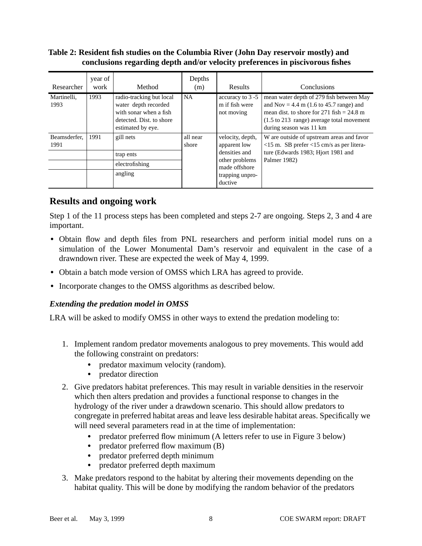### **Table 2: Resident fish studies on the Columbia River (John Day reservoir mostly) and conclusions regarding depth and/or velocity preferences in piscivorous fishes**

| Researcher           | year of<br>work | Method                                                                                                                      | Depths<br>(m)     | Results                                                                                                            | Conclusions                                                                                                                                                                                                                   |
|----------------------|-----------------|-----------------------------------------------------------------------------------------------------------------------------|-------------------|--------------------------------------------------------------------------------------------------------------------|-------------------------------------------------------------------------------------------------------------------------------------------------------------------------------------------------------------------------------|
| Martinelli.<br>1993  | 1993            | radio-tracking but local<br>water depth recorded<br>with sonar when a fish<br>detected. Dist. to shore<br>estimated by eye. | <b>NA</b>         | accuracy to 3 -5<br>m if fish were<br>not moving                                                                   | mean water depth of 279 fish between May<br>and Nov = 4.4 m (1.6 to 45.7 range) and<br>mean dist, to shore for 271 fish $= 24.8$ m<br>$(1.5 \text{ to } 213 \text{ range})$ average total movement<br>during season was 11 km |
| Beamsderfer,<br>1991 | 1991            | gill nets<br>trap ents<br>electrofishing<br>angling                                                                         | all near<br>shore | velocity, depth,<br>apparent low<br>densities and<br>other problems<br>made offshore<br>trapping unpro-<br>ductive | W are outside of upstream areas and favor<br>$<$ 15 m. SB prefer $<$ 15 cm/s as per litera-<br>ture (Edwards 1983; Hjort 1981 and<br>Palmer 1982)                                                                             |

## **Results and ongoing work**

Step 1 of the 11 process steps has been completed and steps 2-7 are ongoing. Steps 2, 3 and 4 are important.

- **•** Obtain flow and depth files from PNL researchers and perform initial model runs on a simulation of the Lower Monumental Dam's reservoir and equivalent in the case of a drawndown river. These are expected the week of May 4, 1999.
- **•** Obtain a batch mode version of OMSS which LRA has agreed to provide.
- **•** Incorporate changes to the OMSS algorithms as described below.

## *Extending the predation model in OMSS*

LRA will be asked to modify OMSS in other ways to extend the predation modeling to:

- 1. Implement random predator movements analogous to prey movements. This would add the following constraint on predators:
	- predator maximum velocity (random).
	- **•** predator direction
- 2. Give predators habitat preferences. This may result in variable densities in the reservoir which then alters predation and provides a functional response to changes in the hydrology of the river under a drawdown scenario. This should allow predators to congregate in preferred habitat areas and leave less desirable habitat areas. Specifically we will need several parameters read in at the time of implementation:
	- predator preferred flow minimum (A letters refer to use in [Figure 3](#page-10-0) below)
	- predator preferred flow maximum (B)
	- predator preferred depth minimum
	- **•** predator preferred depth maximum
- 3. Make predators respond to the habitat by altering their movements depending on the habitat quality. This will be done by modifying the random behavior of the predators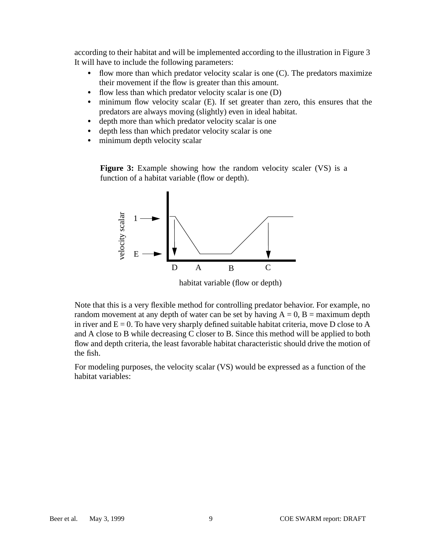<span id="page-10-0"></span>according to their habitat and will be implemented according to the illustration in Figure 3 It will have to include the following parameters:

- flow more than which predator velocity scalar is one (C). The predators maximize their movement if the flow is greater than this amount.
- flow less than which predator velocity scalar is one (D)
- **•** minimum flow velocity scalar (E). If set greater than zero, this ensures that the predators are always moving (slightly) even in ideal habitat.
- depth more than which predator velocity scalar is one
- **•** depth less than which predator velocity scalar is one
- minimum depth velocity scalar

**Figure 3:** Example showing how the random velocity scaler (VS) is a function of a habitat variable (flow or depth).



habitat variable (flow or depth)

Note that this is a very flexible method for controlling predator behavior. For example, no random movement at any depth of water can be set by having  $A = 0$ ,  $B =$  maximum depth in river and  $E = 0$ . To have very sharply defined suitable habitat criteria, move D close to A and A close to B while decreasing C closer to B. Since this method will be applied to both flow and depth criteria, the least favorable habitat characteristic should drive the motion of the fish.

For modeling purposes, the velocity scalar (VS) would be expressed as a function of the habitat variables: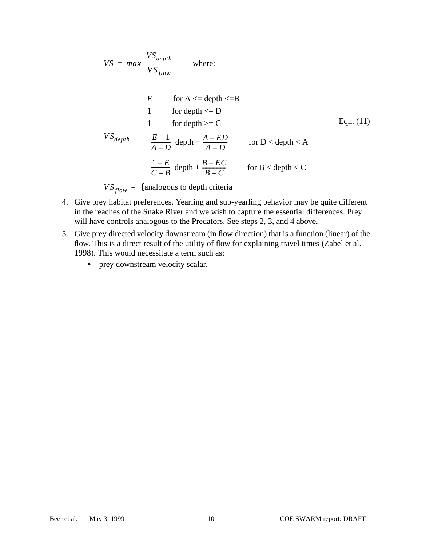$$
VS = max \begin{cases} VS_{depth} & \text{where:} \\ VS_{flow} & \end{cases}
$$

$$
VS_{depth} = \begin{cases} E & \text{for } A \leq \text{depth} \leq B \\ 1 & \text{for depth} \geq C \\ 1 & \text{for depth} \geq C \\ \left(\frac{E-1}{A-D}\right) \text{depth} + \frac{A-ED}{A-D} & \text{for } D < \text{depth} < A \\ \left(\frac{1-E}{C-B}\right) \text{depth} + \frac{B-EC}{B-C} & \text{for } B < \text{depth} < C \end{cases}
$$

 $VS_{flow}$  = {analogous to depth criteria

- 4. Give prey habitat preferences. Yearling and sub-yearling behavior may be quite different in the reaches of the Snake River and we wish to capture the essential differences. Prey will have controls analogous to the Predators. See steps 2, 3, and 4 above.
- 5. Give prey directed velocity downstream (in flow direction) that is a function (linear) of the flow. This is a direct result of the utility of flow for explaining travel times (Zabel et al. 1998). This would necessitate a term such as:
	- prey downstream velocity scalar.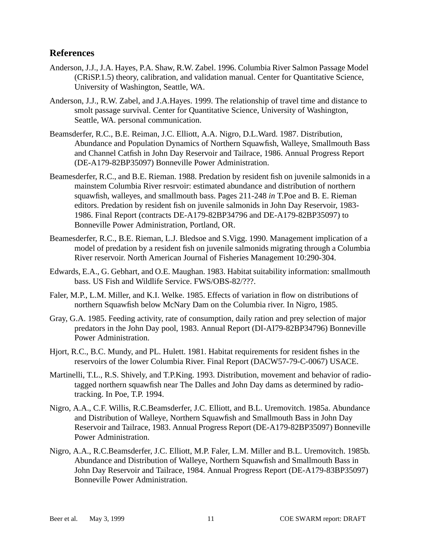## **References**

- Anderson, J.J., J.A. Hayes, P.A. Shaw, R.W. Zabel. 1996. Columbia River Salmon Passage Model (CRiSP.1.5) theory, calibration, and validation manual. Center for Quantitative Science, University of Washington, Seattle, WA.
- Anderson, J.J., R.W. Zabel, and J.A.Hayes. 1999. The relationship of travel time and distance to smolt passage survival. Center for Quantitative Science, University of Washington, Seattle, WA. personal communication.
- Beamsderfer, R.C., B.E. Reiman, J.C. Elliott, A.A. Nigro, D.L.Ward. 1987. Distribution, Abundance and Population Dynamics of Northern Squawfish, Walleye, Smallmouth Bass and Channel Catfish in John Day Reservoir and Tailrace, 1986. Annual Progress Report (DE-A179-82BP35097) Bonneville Power Administration.
- Beamesderfer, R.C., and B.E. Rieman. 1988. Predation by resident fish on juvenile salmonids in a mainstem Columbia River resrvoir: estimated abundance and distribution of northern squawfish, walleyes, and smallmouth bass. Pages 211-248 *in* T.Poe and B. E. Rieman editors. Predation by resident fish on juvenile salmonids in John Day Reservoir, 1983- 1986. Final Report (contracts DE-A179-82BP34796 and DE-A179-82BP35097) to Bonneville Power Administration, Portland, OR.
- Beamesderfer, R.C., B.E. Rieman, L.J. Bledsoe and S.Vigg. 1990. Management implication of a model of predation by a resident fish on juvenile salmonids migrating through a Columbia River reservoir. North American Journal of Fisheries Management 10:290-304.
- Edwards, E.A., G. Gebhart, and O.E. Maughan. 1983. Habitat suitability information: smallmouth bass. US Fish and Wildlife Service. FWS/OBS-82/???.
- Faler, M.P., L.M. Miller, and K.I. Welke. 1985. Effects of variation in flow on distributions of northern Squawfish below McNary Dam on the Columbia river. In Nigro, 1985.
- Gray, G.A. 1985. Feeding activity, rate of consumption, daily ration and prey selection of major predators in the John Day pool, 1983. Annual Report (DI-AI79-82BP34796) Bonneville Power Administration.
- Hjort, R.C., B.C. Mundy, and PL. Hulett. 1981. Habitat requirements for resident fishes in the reservoirs of the lower Columbia River. Final Report (DACW57-79-C-0067) USACE.
- Martinelli, T.L., R.S. Shively, and T.P.King. 1993. Distribution, movement and behavior of radiotagged northern squawfish near The Dalles and John Day dams as determined by radiotracking. In Poe, T.P. 1994.
- Nigro, A.A., C.F. Willis, R.C.Beamsderfer, J.C. Elliott, and B.L. Uremovitch. 1985a. Abundance and Distribution of Walleye, Northern Squawfish and Smallmouth Bass in John Day Reservoir and Tailrace, 1983. Annual Progress Report (DE-A179-82BP35097) Bonneville Power Administration.
- Nigro, A.A., R.C.Beamsderfer, J.C. Elliott, M.P. Faler, L.M. Miller and B.L. Uremovitch. 1985b. Abundance and Distribution of Walleye, Northern Squawfish and Smallmouth Bass in John Day Reservoir and Tailrace, 1984. Annual Progress Report (DE-A179-83BP35097) Bonneville Power Administration.